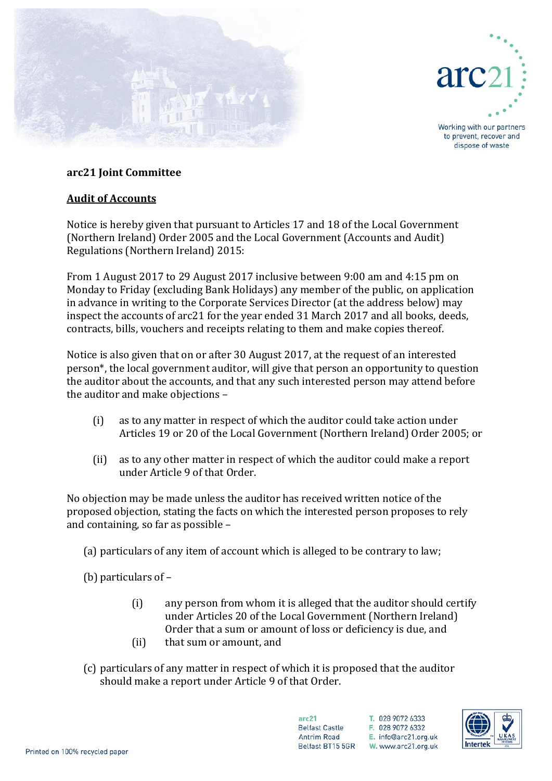



Working with our partners to prevent, recover and dispose of waste

## **arc21 Joint Committee**

## **Audit of Accounts**

Notice is hereby given that pursuant to Articles 17 and 18 of the Local Government (Northern Ireland) Order 2005 and the Local Government (Accounts and Audit) Regulations (Northern Ireland) 2015:

From 1 August 2017 to 29 August 2017 inclusive between 9:00 am and 4:15 pm on Monday to Friday (excluding Bank Holidays) any member of the public, on application in advance in writing to the Corporate Services Director (at the address below) may inspect the accounts of arc21 for the year ended 31 March 2017 and all books, deeds, contracts, bills, vouchers and receipts relating to them and make copies thereof.

Notice is also given that on or after 30 August 2017, at the request of an interested person\*, the local government auditor, will give that person an opportunity to question the auditor about the accounts, and that any such interested person may attend before the auditor and make objections –

- (i) as to any matter in respect of which the auditor could take action under Articles 19 or 20 of the Local Government (Northern Ireland) Order 2005; or
- (ii) as to any other matter in respect of which the auditor could make a report under Article 9 of that Order.

No objection may be made unless the auditor has received written notice of the proposed objection, stating the facts on which the interested person proposes to rely and containing, so far as possible –

(a) particulars of any item of account which is alleged to be contrary to law;

(b) particulars of –

- (i) any person from whom it is alleged that the auditor should certify under Articles 20 of the Local Government (Northern Ireland) Order that a sum or amount of loss or deficiency is due, and
- (ii) that sum or amount, and
- (c) particulars of any matter in respect of which it is proposed that the auditor should make a report under Article 9 of that Order.